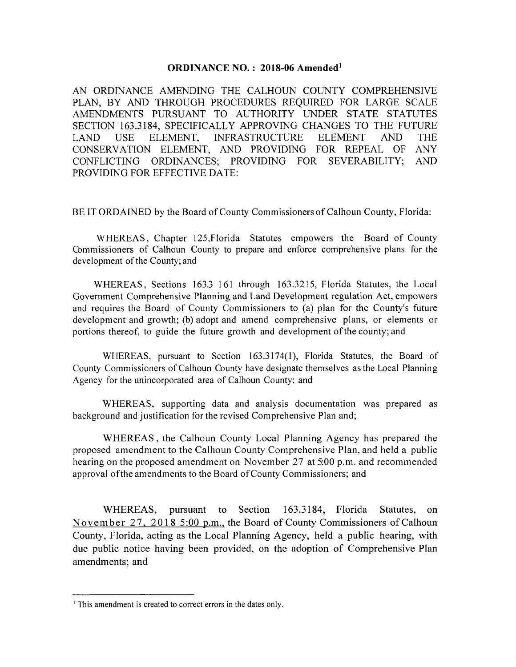#### **ORDINANCE NO.: 2018-06 Amended**<sup>1</sup>

AN ORDINANCE AMENDING THE CALHOUN COUNTY COMPREHENSIVE PLAN, BY AND THROUGH PROCEDURES REQUIRED FOR LARGE SCALE AMENDMENTS PURSUANT TO AUTHORITY UNDER STATE STATUTES SECTION 163.3184, SPECIFICALLY APPROVING CHANGES TO THE FUTURE ELEMENT, **INFRASTRUCTURE USE ELEMENT** AND. **THE** LAND. CONSERVATION ELEMENT, AND PROVIDING FOR REPEAL OF ANY CONFLICTING ORDINANCES; PROVIDING FOR SEVERABILITY; AND PROVIDING FOR EFFECTIVE DATE:

BE IT ORDAINED by the Board of County Commissioners of Calhoun County, Florida:

WHEREAS, Chapter 125, Florida Statutes empowers the Board of County Commissioners of Calhoun County to prepare and enforce comprehensive plans for the development of the County; and

WHEREAS, Sections 163.3 161 through 163.3215, Florida Statutes, the Local Government Comprehensive Planning and Land Development regulation Act, empowers and requires the Board of County Commissioners to (a) plan for the County's future development and growth; (b) adopt and amend comprehensive plans, or elements or portions thereof, to guide the future growth and development of the county; and

WHEREAS, pursuant to Section 163.3174(1), Florida Statutes, the Board of County Commissioners of Calhoun County have designate themselves as the Local Planning Agency for the unincorporated area of Calhoun County; and

WHEREAS, supporting data and analysis documentation was prepared as background and justification for the revised Comprehensive Plan and;

WHEREAS, the Calhoun County Local Planning Agency has prepared the proposed amendment to the Calhoun County Comprehensive Plan, and held a public hearing on the proposed amendment on November 27 at 5:00 p.m. and recommended approval of the amendments to the Board of County Commissioners; and

WHEREAS, pursuant to Section 163.3184, Florida Statutes, on November 27, 2018 5:00 p.m., the Board of County Commissioners of Calhoun County, Florida, acting as the Local Planning Agency, held a public hearing, with due public notice having been provided, on the adoption of Comprehensive Plan amendments; and

<sup>&</sup>lt;sup>1</sup> This amendment is created to correct errors in the dates only.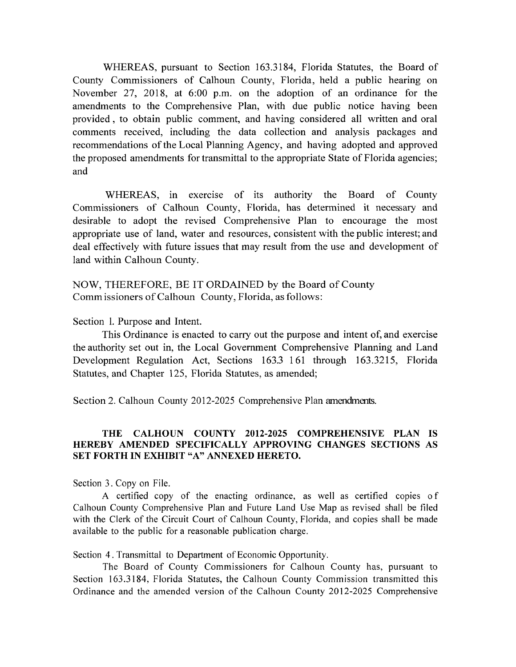WHEREAS, pursuant to Section 163.3184, Florida Statutes, the Board of County Commissioners of Calhoun County, Florida, held a public hearing on November 27, 2018, at 6:00 p.m. on the adoption of an ordinance for the amendments to the Comprehensive Plan, with due public notice having been provided, to obtain public comment, and having considered all written and oral comments received, including the data collection and analysis packages and recommendations of the Local Planning Agency, and having adopted and approved the proposed amendments for transmittal to the appropriate State of Florida agencies; and

WHEREAS, in exercise of its authority the Board of County Commissioners of Calhoun County, Florida, has determined it necessary and desirable to adopt the revised Comprehensive Plan to encourage the most appropriate use of land, water and resources, consistent with the public interest; and deal effectively with future issues that may result from the use and development of land within Calhoun County.

NOW, THEREFORE, BE IT ORDAINED by the Board of County Comm issioners of Calhoun County, Florida, as follows:

Section 1. Purpose and Intent.

This Ordinance is enacted to carry out the purpose and intent of, and exercise the authority set out in, the Local Government Comprehensive Planning and Land Development Regulation Act, Sections 163.3 161 through 163.3215, Florida Statutes, and Chapter 125, Florida Statutes, as amended;

Section 2. Calhoun County 2012-2025 Comprehensive Plan amendments.

#### THE CALHOUN COUNTY 2012-2025 COMPREHENSIVE PLAN IS HEREBY AMENDED SPECIFICALLY APPROVING CHANGES SECTIONS AS SET FORTH IN EXHIBIT "A" ANNEXED HERETO.

Section 3. Copy on File.

A certified copy of the enacting ordinance, as well as certified copies of Calhoun County Comprehensive Plan and Future Land Use Map as revised shall be filed with the Clerk of the Circuit Court of Calhoun County, Florida, and copies shall be made available to the public for a reasonable publication charge.

Section 4. Transmittal to Department of Economic Opportunity.

The Board of County Commissioners for Calhoun County has, pursuant to Section 163.3184, Florida Statutes, the Calhoun County Commission transmitted this Ordinance and the amended version of the Calhoun County 2012-2025 Comprehensive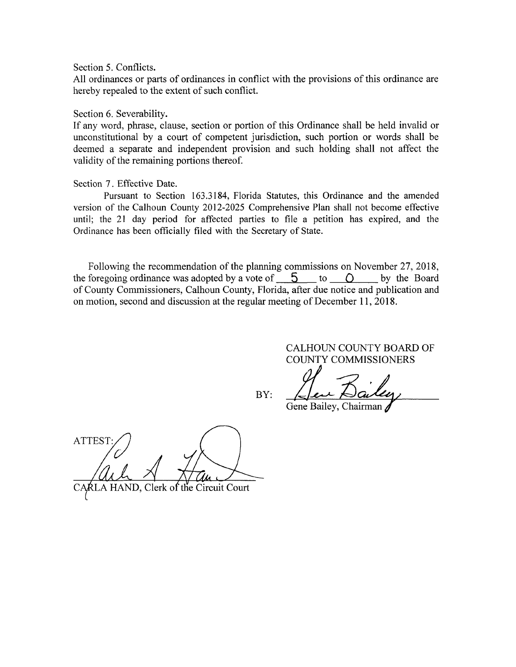Section 5. Conflicts.

All ordinances or parts of ordinances in conflict with the provisions of this ordinance are hereby repealed to the extent of such conflict.

Section 6. Severability.

If any word, phrase, clause, section or portion of this Ordinance shall be held invalid or unconstitutional by a court of competent jurisdiction, such portion or words shall be deemed a separate and independent provision and such holding shall not affect the validity of the remaining portions thereof.

#### Section 7. Effective Date.

Pursuant to Section 163.3184, Florida Statutes, this Ordinance and the amended version of the Calhoun County 2012-2025 Comprehensive Plan shall not become effective until; the 21 day period for affected parties to file a petition has expired, and the Ordinance has been officially filed with the Secretary of State.

Following the recommendation of the planning commissions on November 27, 2018, the foregoing ordinance was adopted by a vote of  $\overline{5}$  to  $\overline{0}$  to by the Board of County Commissioners, Calhoun County, Florida, after due notice and publication and on motion, second and discussion at the regular meeting of December 11, 2018.

> CALHOUN COUNTY BOARD OF COUNTY COMMISSIONERS

BY:

Gene Bailey, Chairman

**ATTEST** 

RLA HAND, Clerk of the Circuit Court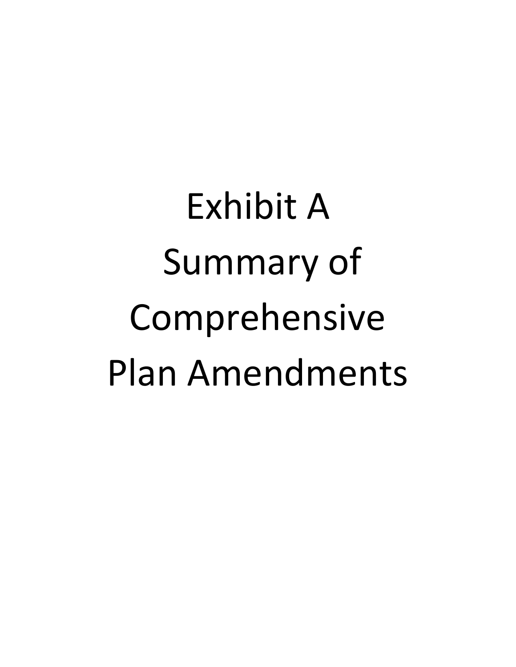Exhibit A Summary of Comprehensive Plan Amendments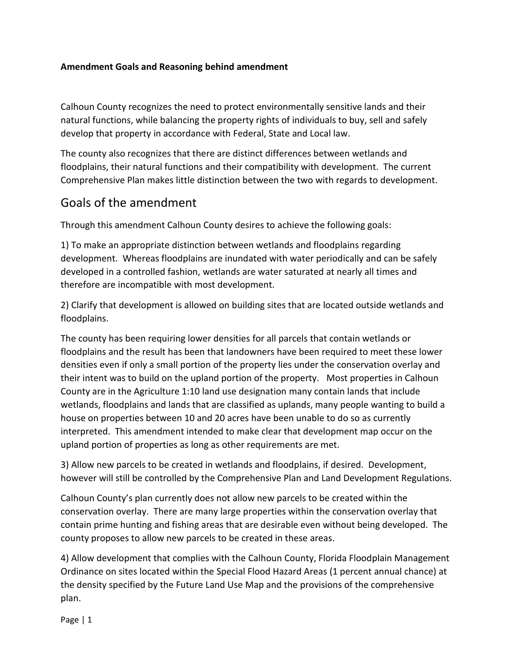#### **Amendment Goals and Reasoning behind amendment**

Calhoun County recognizes the need to protect environmentally sensitive lands and their natural functions, while balancing the property rights of individuals to buy, sell and safely develop that property in accordance with Federal, State and Local law.

The county also recognizes that there are distinct differences between wetlands and floodplains, their natural functions and their compatibility with development. The current Comprehensive Plan makes little distinction between the two with regards to development.

## Goals of the amendment

Through this amendment Calhoun County desires to achieve the following goals:

1) To make an appropriate distinction between wetlands and floodplains regarding development. Whereas floodplains are inundated with water periodically and can be safely developed in a controlled fashion, wetlands are water saturated at nearly all times and therefore are incompatible with most development.

2) Clarify that development is allowed on building sites that are located outside wetlands and floodplains.

The county has been requiring lower densities for all parcels that contain wetlands or floodplains and the result has been that landowners have been required to meet these lower densities even if only a small portion of the property lies under the conservation overlay and their intent was to build on the upland portion of the property. Most properties in Calhoun County are in the Agriculture 1:10 land use designation many contain lands that include wetlands, floodplains and lands that are classified as uplands, many people wanting to build a house on properties between 10 and 20 acres have been unable to do so as currently interpreted. This amendment intended to make clear that development map occur on the upland portion of properties as long as other requirements are met.

3) Allow new parcels to be created in wetlands and floodplains, if desired. Development, however will still be controlled by the Comprehensive Plan and Land Development Regulations.

Calhoun County's plan currently does not allow new parcels to be created within the conservation overlay. There are many large properties within the conservation overlay that contain prime hunting and fishing areas that are desirable even without being developed. The county proposes to allow new parcels to be created in these areas.

4) Allow development that complies with the Calhoun County, Florida Floodplain Management Ordinance on sites located within the Special Flood Hazard Areas (1 percent annual chance) at the density specified by the Future Land Use Map and the provisions of the comprehensive plan.

Page | 1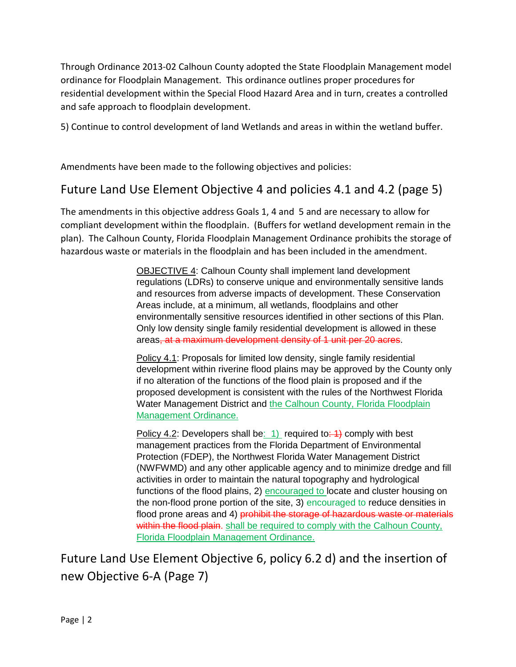Through Ordinance 2013-02 Calhoun County adopted the State Floodplain Management model ordinance for Floodplain Management. This ordinance outlines proper procedures for residential development within the Special Flood Hazard Area and in turn, creates a controlled and safe approach to floodplain development.

5) Continue to control development of land Wetlands and areas in within the wetland buffer.

Amendments have been made to the following objectives and policies:

## Future Land Use Element Objective 4 and policies 4.1 and 4.2 (page 5)

The amendments in this objective address Goals 1, 4 and 5 and are necessary to allow for compliant development within the floodplain. (Buffers for wetland development remain in the plan). The Calhoun County, Florida Floodplain Management Ordinance prohibits the storage of hazardous waste or materials in the floodplain and has been included in the amendment.

> OBJECTIVE 4: Calhoun County shall implement land development regulations (LDRs) to conserve unique and environmentally sensitive lands and resources from adverse impacts of development. These Conservation Areas include, at a minimum, all wetlands, floodplains and other environmentally sensitive resources identified in other sections of this Plan. Only low density single family residential development is allowed in these areas, at a maximum development density of 1 unit per 20 acres.

Policy 4.1: Proposals for limited low density, single family residential development within riverine flood plains may be approved by the County only if no alteration of the functions of the flood plain is proposed and if the proposed development is consistent with the rules of the Northwest Florida Water Management District and the Calhoun County, Florida Floodplain Management Ordinance.

Policy 4.2: Developers shall be: 1) required to:  $\rightarrow$  comply with best management practices from the Florida Department of Environmental Protection (FDEP), the Northwest Florida Water Management District (NWFWMD) and any other applicable agency and to minimize dredge and fill activities in order to maintain the natural topography and hydrological functions of the flood plains, 2) encouraged to locate and cluster housing on the non-flood prone portion of the site, 3) encouraged to reduce densities in flood prone areas and 4) prohibit the storage of hazardous waste or materials within the flood plain. shall be required to comply with the Calhoun County, Florida Floodplain Management Ordinance.

Future Land Use Element Objective 6, policy 6.2 d) and the insertion of new Objective 6-A (Page 7)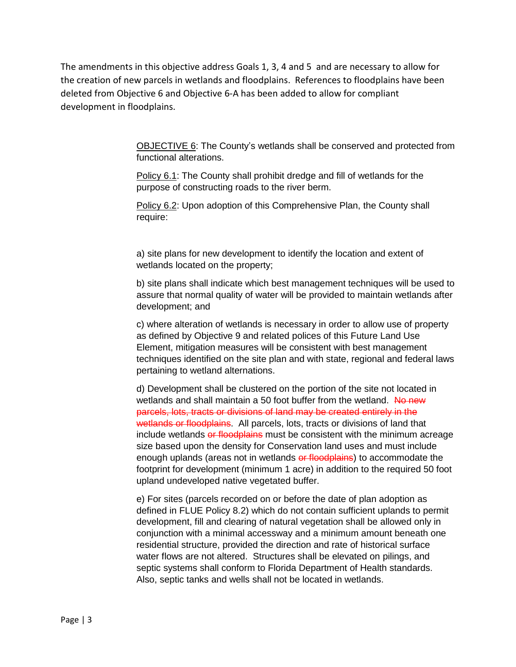The amendments in this objective address Goals 1, 3, 4 and 5 and are necessary to allow for the creation of new parcels in wetlands and floodplains. References to floodplains have been deleted from Objective 6 and Objective 6-A has been added to allow for compliant development in floodplains.

> OBJECTIVE 6: The County's wetlands shall be conserved and protected from functional alterations.

Policy 6.1: The County shall prohibit dredge and fill of wetlands for the purpose of constructing roads to the river berm.

Policy 6.2: Upon adoption of this Comprehensive Plan, the County shall require:

a) site plans for new development to identify the location and extent of wetlands located on the property;

b) site plans shall indicate which best management techniques will be used to assure that normal quality of water will be provided to maintain wetlands after development; and

c) where alteration of wetlands is necessary in order to allow use of property as defined by Objective 9 and related polices of this Future Land Use Element, mitigation measures will be consistent with best management techniques identified on the site plan and with state, regional and federal laws pertaining to wetland alternations.

d) Development shall be clustered on the portion of the site not located in wetlands and shall maintain a 50 foot buffer from the wetland. No new parcels, lots, tracts or divisions of land may be created entirely in the wetlands or floodplains. All parcels, lots, tracts or divisions of land that include wetlands or floodplains must be consistent with the minimum acreage size based upon the density for Conservation land uses and must include enough uplands (areas not in wetlands or floodplains) to accommodate the footprint for development (minimum 1 acre) in addition to the required 50 foot upland undeveloped native vegetated buffer.

e) For sites (parcels recorded on or before the date of plan adoption as defined in FLUE Policy 8.2) which do not contain sufficient uplands to permit development, fill and clearing of natural vegetation shall be allowed only in conjunction with a minimal accessway and a minimum amount beneath one residential structure, provided the direction and rate of historical surface water flows are not altered. Structures shall be elevated on pilings, and septic systems shall conform to Florida Department of Health standards. Also, septic tanks and wells shall not be located in wetlands.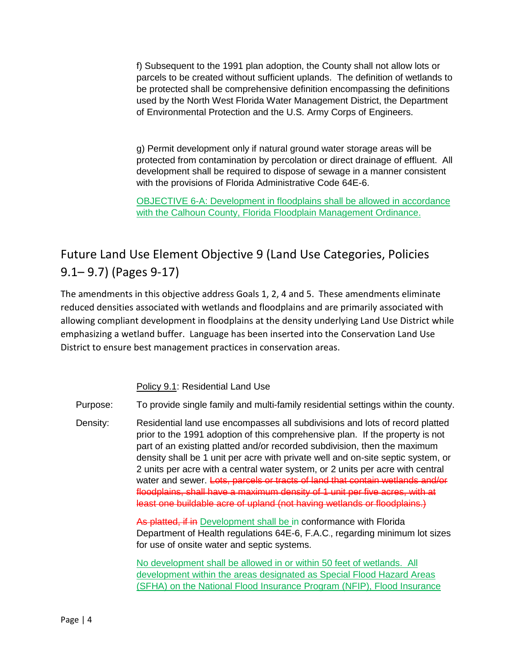f) Subsequent to the 1991 plan adoption, the County shall not allow lots or parcels to be created without sufficient uplands. The definition of wetlands to be protected shall be comprehensive definition encompassing the definitions used by the North West Florida Water Management District, the Department of Environmental Protection and the U.S. Army Corps of Engineers.

g) Permit development only if natural ground water storage areas will be protected from contamination by percolation or direct drainage of effluent. All development shall be required to dispose of sewage in a manner consistent with the provisions of Florida Administrative Code 64E-6.

OBJECTIVE 6-A: Development in floodplains shall be allowed in accordance with the Calhoun County, Florida Floodplain Management Ordinance.

# Future Land Use Element Objective 9 (Land Use Categories, Policies 9.1– 9.7) (Pages 9-17)

The amendments in this objective address Goals 1, 2, 4 and 5. These amendments eliminate reduced densities associated with wetlands and floodplains and are primarily associated with allowing compliant development in floodplains at the density underlying Land Use District while emphasizing a wetland buffer. Language has been inserted into the Conservation Land Use District to ensure best management practices in conservation areas.

Policy 9.1: Residential Land Use

Purpose: To provide single family and multi-family residential settings within the county.

Density: Residential land use encompasses all subdivisions and lots of record platted prior to the 1991 adoption of this comprehensive plan. If the property is not part of an existing platted and/or recorded subdivision, then the maximum density shall be 1 unit per acre with private well and on-site septic system, or 2 units per acre with a central water system, or 2 units per acre with central water and sewer. Lots, parcels or tracts of land that contain wetlands and/or floodplains, shall have a maximum density of 1 unit per five acres, with at least one buildable acre of upland (not having wetlands or floodplains.)

> As platted, if in Development shall be in conformance with Florida Department of Health regulations 64E-6, F.A.C., regarding minimum lot sizes for use of onsite water and septic systems.

No development shall be allowed in or within 50 feet of wetlands. All development within the areas designated as Special Flood Hazard Areas (SFHA) on the National Flood Insurance Program (NFIP), Flood Insurance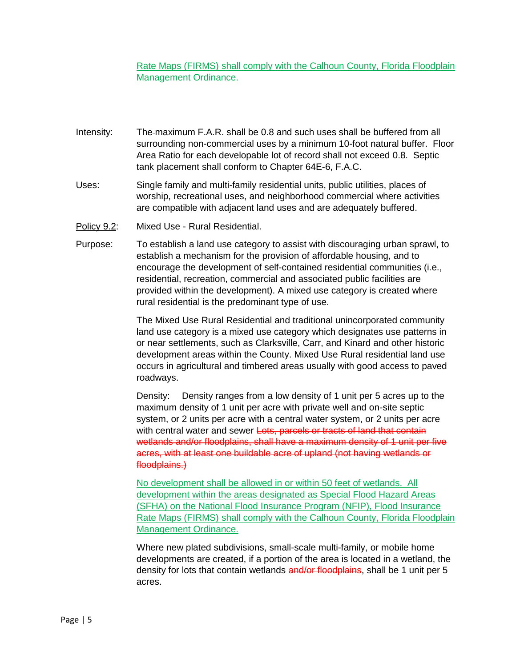Rate Maps (FIRMS) shall comply with the Calhoun County, Florida Floodplain Management Ordinance.

- Intensity: The maximum F.A.R. shall be 0.8 and such uses shall be buffered from all surrounding non-commercial uses by a minimum 10-foot natural buffer. Floor Area Ratio for each developable lot of record shall not exceed 0.8. Septic tank placement shall conform to Chapter 64E-6, F.A.C.
- Uses: Single family and multi-family residential units, public utilities, places of worship, recreational uses, and neighborhood commercial where activities are compatible with adjacent land uses and are adequately buffered.
- Policy 9.2: Mixed Use Rural Residential.
- Purpose: To establish a land use category to assist with discouraging urban sprawl, to establish a mechanism for the provision of affordable housing, and to encourage the development of self-contained residential communities (i.e., residential, recreation, commercial and associated public facilities are provided within the development). A mixed use category is created where rural residential is the predominant type of use.

The Mixed Use Rural Residential and traditional unincorporated community land use category is a mixed use category which designates use patterns in or near settlements, such as Clarksville, Carr, and Kinard and other historic development areas within the County. Mixed Use Rural residential land use occurs in agricultural and timbered areas usually with good access to paved roadways.

Density: Density ranges from a low density of 1 unit per 5 acres up to the maximum density of 1 unit per acre with private well and on-site septic system, or 2 units per acre with a central water system, or 2 units per acre with central water and sewer Lots, parcels or tracts of land that contain wetlands and/or floodplains, shall have a maximum density of 1 unit per five acres, with at least one buildable acre of upland (not having wetlands or floodplains.)

No development shall be allowed in or within 50 feet of wetlands. All development within the areas designated as Special Flood Hazard Areas (SFHA) on the National Flood Insurance Program (NFIP), Flood Insurance Rate Maps (FIRMS) shall comply with the Calhoun County, Florida Floodplain Management Ordinance.

Where new plated subdivisions, small-scale multi-family, or mobile home developments are created, if a portion of the area is located in a wetland, the density for lots that contain wetlands and/or floodplains, shall be 1 unit per 5 acres.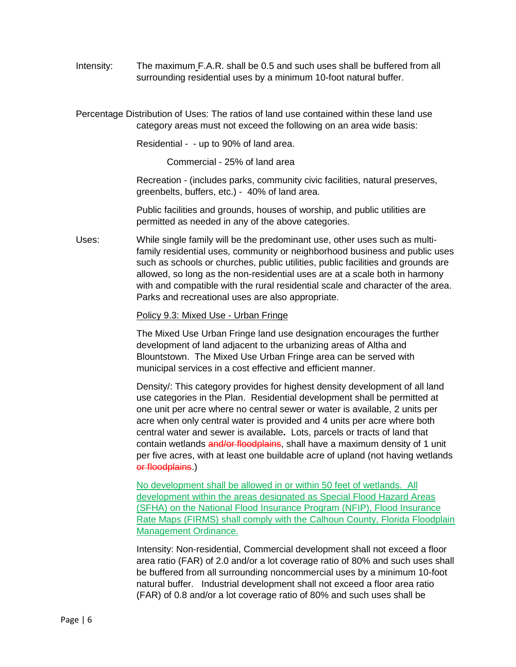Intensity: The maximum F.A.R. shall be 0.5 and such uses shall be buffered from all surrounding residential uses by a minimum 10-foot natural buffer.

Percentage Distribution of Uses: The ratios of land use contained within these land use category areas must not exceed the following on an area wide basis:

Residential - - up to 90% of land area.

Commercial - 25% of land area

Recreation - (includes parks, community civic facilities, natural preserves, greenbelts, buffers, etc.) - 40% of land area.

Public facilities and grounds, houses of worship, and public utilities are permitted as needed in any of the above categories.

Uses: While single family will be the predominant use, other uses such as multifamily residential uses, community or neighborhood business and public uses such as schools or churches, public utilities, public facilities and grounds are allowed, so long as the non-residential uses are at a scale both in harmony with and compatible with the rural residential scale and character of the area. Parks and recreational uses are also appropriate.

#### Policy 9.3: Mixed Use - Urban Fringe

The Mixed Use Urban Fringe land use designation encourages the further development of land adjacent to the urbanizing areas of Altha and Blountstown. The Mixed Use Urban Fringe area can be served with municipal services in a cost effective and efficient manner.

Density/: This category provides for highest density development of all land use categories in the Plan. Residential development shall be permitted at one unit per acre where no central sewer or water is available, 2 units per acre when only central water is provided and 4 units per acre where both central water and sewer is available**.** Lots, parcels or tracts of land that contain wetlands and/or floodplains, shall have a maximum density of 1 unit per five acres, with at least one buildable acre of upland (not having wetlands or floodplains.)

No development shall be allowed in or within 50 feet of wetlands. All development within the areas designated as Special Flood Hazard Areas (SFHA) on the National Flood Insurance Program (NFIP), Flood Insurance Rate Maps (FIRMS) shall comply with the Calhoun County, Florida Floodplain Management Ordinance.

Intensity: Non-residential, Commercial development shall not exceed a floor area ratio (FAR) of 2.0 and/or a lot coverage ratio of 80% and such uses shall be buffered from all surrounding noncommercial uses by a minimum 10-foot natural buffer. Industrial development shall not exceed a floor area ratio (FAR) of 0.8 and/or a lot coverage ratio of 80% and such uses shall be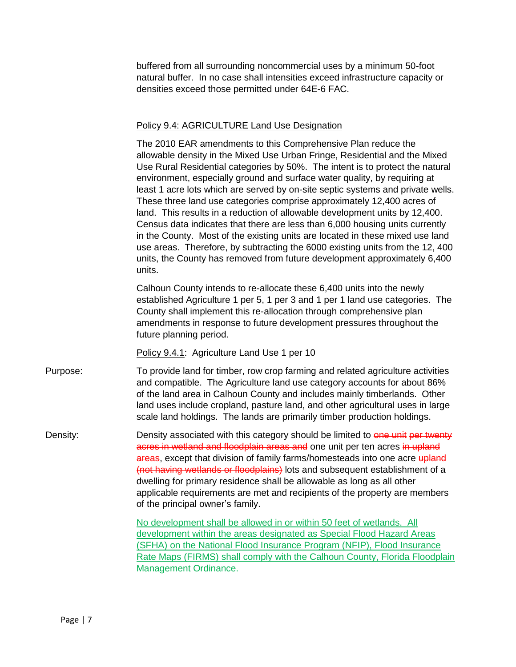buffered from all surrounding noncommercial uses by a minimum 50-foot natural buffer. In no case shall intensities exceed infrastructure capacity or densities exceed those permitted under 64E-6 FAC.

#### Policy 9.4: AGRICULTURE Land Use Designation

The 2010 EAR amendments to this Comprehensive Plan reduce the allowable density in the Mixed Use Urban Fringe, Residential and the Mixed Use Rural Residential categories by 50%. The intent is to protect the natural environment, especially ground and surface water quality, by requiring at least 1 acre lots which are served by on-site septic systems and private wells. These three land use categories comprise approximately 12,400 acres of land. This results in a reduction of allowable development units by 12,400. Census data indicates that there are less than 6,000 housing units currently in the County. Most of the existing units are located in these mixed use land use areas. Therefore, by subtracting the 6000 existing units from the 12, 400 units, the County has removed from future development approximately 6,400 units.

Calhoun County intends to re-allocate these 6,400 units into the newly established Agriculture 1 per 5, 1 per 3 and 1 per 1 land use categories. The County shall implement this re-allocation through comprehensive plan amendments in response to future development pressures throughout the future planning period.

Policy 9.4.1: Agriculture Land Use 1 per 10

Purpose: To provide land for timber, row crop farming and related agriculture activities and compatible. The Agriculture land use category accounts for about 86% of the land area in Calhoun County and includes mainly timberlands. Other land uses include cropland, pasture land, and other agricultural uses in large scale land holdings. The lands are primarily timber production holdings.

Density: Density associated with this category should be limited to one unit per twenty acres in wetland and floodplain areas and one unit per ten acres in upland areas, except that division of family farms/homesteads into one acre upland (not having wetlands or floodplains) lots and subsequent establishment of a dwelling for primary residence shall be allowable as long as all other applicable requirements are met and recipients of the property are members of the principal owner's family.

> No development shall be allowed in or within 50 feet of wetlands. All development within the areas designated as Special Flood Hazard Areas (SFHA) on the National Flood Insurance Program (NFIP), Flood Insurance Rate Maps (FIRMS) shall comply with the Calhoun County, Florida Floodplain Management Ordinance.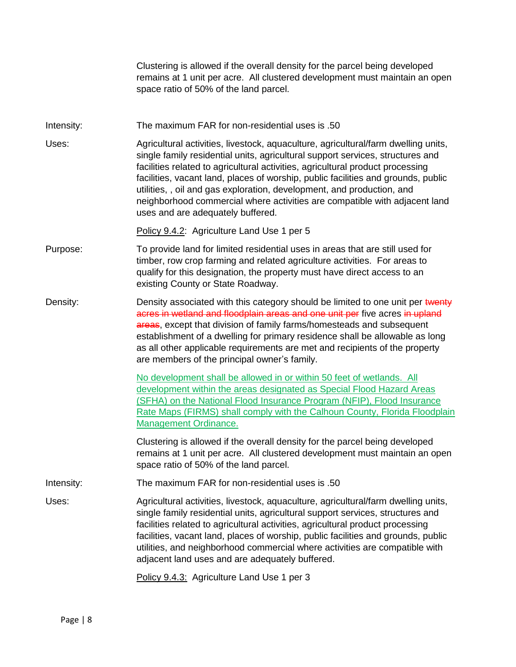|            | Clustering is allowed if the overall density for the parcel being developed<br>remains at 1 unit per acre. All clustered development must maintain an open<br>space ratio of 50% of the land parcel.                                                                                                                                                                                                                                                                                                                                    |
|------------|-----------------------------------------------------------------------------------------------------------------------------------------------------------------------------------------------------------------------------------------------------------------------------------------------------------------------------------------------------------------------------------------------------------------------------------------------------------------------------------------------------------------------------------------|
| Intensity: | The maximum FAR for non-residential uses is .50                                                                                                                                                                                                                                                                                                                                                                                                                                                                                         |
| Uses:      | Agricultural activities, livestock, aquaculture, agricultural/farm dwelling units,<br>single family residential units, agricultural support services, structures and<br>facilities related to agricultural activities, agricultural product processing<br>facilities, vacant land, places of worship, public facilities and grounds, public<br>utilities,, oil and gas exploration, development, and production, and<br>neighborhood commercial where activities are compatible with adjacent land<br>uses and are adequately buffered. |
|            | Policy 9.4.2: Agriculture Land Use 1 per 5                                                                                                                                                                                                                                                                                                                                                                                                                                                                                              |
| Purpose:   | To provide land for limited residential uses in areas that are still used for<br>timber, row crop farming and related agriculture activities. For areas to<br>qualify for this designation, the property must have direct access to an<br>existing County or State Roadway.                                                                                                                                                                                                                                                             |
| Density:   | Density associated with this category should be limited to one unit per twenty<br>acres in wetland and floodplain areas and one unit per five acres in upland<br>areas, except that division of family farms/homesteads and subsequent<br>establishment of a dwelling for primary residence shall be allowable as long<br>as all other applicable requirements are met and recipients of the property<br>are members of the principal owner's family.                                                                                   |
|            | No development shall be allowed in or within 50 feet of wetlands. All<br>development within the areas designated as Special Flood Hazard Areas<br>(SFHA) on the National Flood Insurance Program (NFIP), Flood Insurance<br>Rate Maps (FIRMS) shall comply with the Calhoun County, Florida Floodplain<br><b>Management Ordinance.</b>                                                                                                                                                                                                  |
|            | Clustering is allowed if the overall density for the parcel being developed<br>remains at 1 unit per acre. All clustered development must maintain an open<br>space ratio of 50% of the land parcel.                                                                                                                                                                                                                                                                                                                                    |
| Intensity: | The maximum FAR for non-residential uses is .50                                                                                                                                                                                                                                                                                                                                                                                                                                                                                         |
| Uses:      | Agricultural activities, livestock, aquaculture, agricultural/farm dwelling units,<br>single family residential units, agricultural support services, structures and<br>facilities related to agricultural activities, agricultural product processing<br>facilities, vacant land, places of worship, public facilities and grounds, public<br>utilities, and neighborhood commercial where activities are compatible with<br>adjacent land uses and are adequately buffered.                                                           |
|            | Policy 9.4.3: Agriculture Land Use 1 per 3                                                                                                                                                                                                                                                                                                                                                                                                                                                                                              |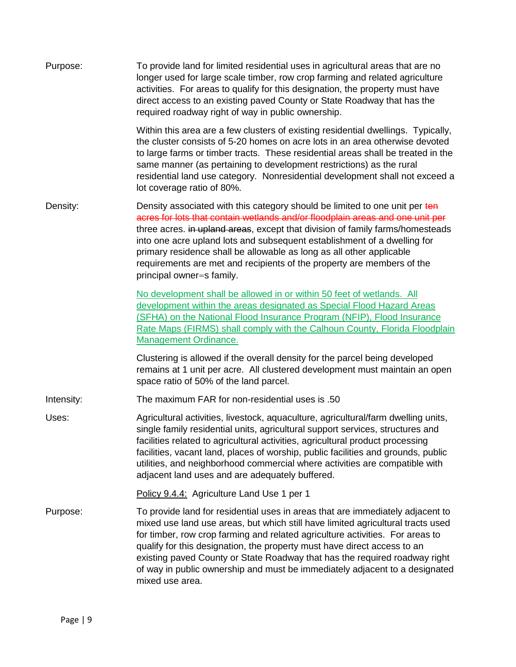| Purpose:   | To provide land for limited residential uses in agricultural areas that are no<br>longer used for large scale timber, row crop farming and related agriculture<br>activities. For areas to qualify for this designation, the property must have<br>direct access to an existing paved County or State Roadway that has the<br>required roadway right of way in public ownership.                                                                                                                               |
|------------|----------------------------------------------------------------------------------------------------------------------------------------------------------------------------------------------------------------------------------------------------------------------------------------------------------------------------------------------------------------------------------------------------------------------------------------------------------------------------------------------------------------|
|            | Within this area are a few clusters of existing residential dwellings. Typically,<br>the cluster consists of 5-20 homes on acre lots in an area otherwise devoted<br>to large farms or timber tracts. These residential areas shall be treated in the<br>same manner (as pertaining to development restrictions) as the rural<br>residential land use category. Nonresidential development shall not exceed a<br>lot coverage ratio of 80%.                                                                    |
| Density:   | Density associated with this category should be limited to one unit per ten<br>acres for lots that contain wetlands and/or floodplain areas and one unit per<br>three acres. in upland areas, except that division of family farms/homesteads<br>into one acre upland lots and subsequent establishment of a dwelling for<br>primary residence shall be allowable as long as all other applicable<br>requirements are met and recipients of the property are members of the<br>principal owner=s family.       |
|            | No development shall be allowed in or within 50 feet of wetlands. All<br>development within the areas designated as Special Flood Hazard Areas<br>(SFHA) on the National Flood Insurance Program (NFIP), Flood Insurance<br>Rate Maps (FIRMS) shall comply with the Calhoun County, Florida Floodplain<br>Management Ordinance.                                                                                                                                                                                |
|            | Clustering is allowed if the overall density for the parcel being developed<br>remains at 1 unit per acre. All clustered development must maintain an open<br>space ratio of 50% of the land parcel.                                                                                                                                                                                                                                                                                                           |
| Intensity: | The maximum FAR for non-residential uses is .50                                                                                                                                                                                                                                                                                                                                                                                                                                                                |
| Uses:      | Agricultural activities, livestock, aquaculture, agricultural/farm dwelling units,<br>single family residential units, agricultural support services, structures and<br>facilities related to agricultural activities, agricultural product processing<br>facilities, vacant land, places of worship, public facilities and grounds, public<br>utilities, and neighborhood commercial where activities are compatible with<br>adjacent land uses and are adequately buffered.                                  |
|            | Policy 9.4.4: Agriculture Land Use 1 per 1                                                                                                                                                                                                                                                                                                                                                                                                                                                                     |
| Purpose:   | To provide land for residential uses in areas that are immediately adjacent to<br>mixed use land use areas, but which still have limited agricultural tracts used<br>for timber, row crop farming and related agriculture activities. For areas to<br>qualify for this designation, the property must have direct access to an<br>existing paved County or State Roadway that has the required roadway right<br>of way in public ownership and must be immediately adjacent to a designated<br>mixed use area. |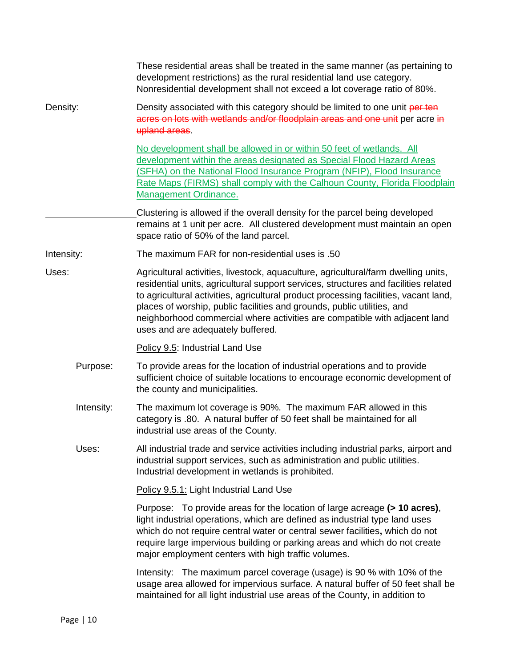|            | These residential areas shall be treated in the same manner (as pertaining to<br>development restrictions) as the rural residential land use category.<br>Nonresidential development shall not exceed a lot coverage ratio of 80%.                                                                                                                                                                                                                              |
|------------|-----------------------------------------------------------------------------------------------------------------------------------------------------------------------------------------------------------------------------------------------------------------------------------------------------------------------------------------------------------------------------------------------------------------------------------------------------------------|
| Density:   | Density associated with this category should be limited to one unit per ten<br>acres on lots with wetlands and/or floodplain areas and one unit per acre in<br>upland areas.                                                                                                                                                                                                                                                                                    |
|            | No development shall be allowed in or within 50 feet of wetlands. All<br>development within the areas designated as Special Flood Hazard Areas<br>(SFHA) on the National Flood Insurance Program (NFIP), Flood Insurance<br>Rate Maps (FIRMS) shall comply with the Calhoun County, Florida Floodplain<br>Management Ordinance.                                                                                                                                 |
|            | Clustering is allowed if the overall density for the parcel being developed<br>remains at 1 unit per acre. All clustered development must maintain an open<br>space ratio of 50% of the land parcel.                                                                                                                                                                                                                                                            |
| Intensity: | The maximum FAR for non-residential uses is .50                                                                                                                                                                                                                                                                                                                                                                                                                 |
| Uses:      | Agricultural activities, livestock, aquaculture, agricultural/farm dwelling units,<br>residential units, agricultural support services, structures and facilities related<br>to agricultural activities, agricultural product processing facilities, vacant land,<br>places of worship, public facilities and grounds, public utilities, and<br>neighborhood commercial where activities are compatible with adjacent land<br>uses and are adequately buffered. |
|            | Policy 9.5: Industrial Land Use                                                                                                                                                                                                                                                                                                                                                                                                                                 |
| Purpose:   | To provide areas for the location of industrial operations and to provide<br>sufficient choice of suitable locations to encourage economic development of<br>the county and municipalities.                                                                                                                                                                                                                                                                     |
| Intensity: | The maximum lot coverage is 90%. The maximum FAR allowed in this<br>category is .80. A natural buffer of 50 feet shall be maintained for all<br>industrial use areas of the County.                                                                                                                                                                                                                                                                             |
| Uses:      | All industrial trade and service activities including industrial parks, airport and<br>industrial support services, such as administration and public utilities.<br>Industrial development in wetlands is prohibited.                                                                                                                                                                                                                                           |
|            | Policy 9.5.1: Light Industrial Land Use                                                                                                                                                                                                                                                                                                                                                                                                                         |
|            | Purpose: To provide areas for the location of large acreage (> 10 acres),<br>light industrial operations, which are defined as industrial type land uses<br>which do not require central water or central sewer facilities, which do not<br>require large impervious building or parking areas and which do not create<br>major employment centers with high traffic volumes.                                                                                   |
|            | Intensity: The maximum parcel coverage (usage) is 90 % with 10% of the<br>usage area allowed for impervious surface. A natural buffer of 50 feet shall be<br>maintained for all light industrial use areas of the County, in addition to                                                                                                                                                                                                                        |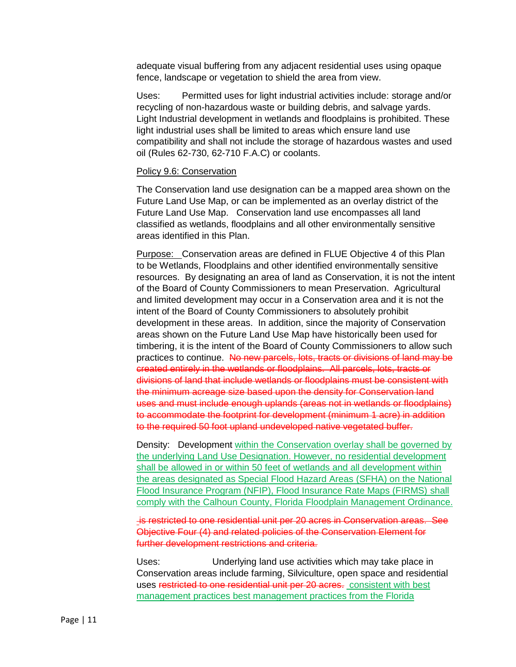adequate visual buffering from any adjacent residential uses using opaque fence, landscape or vegetation to shield the area from view.

Uses: Permitted uses for light industrial activities include: storage and/or recycling of non-hazardous waste or building debris, and salvage yards. Light Industrial development in wetlands and floodplains is prohibited. These light industrial uses shall be limited to areas which ensure land use compatibility and shall not include the storage of hazardous wastes and used oil (Rules 62-730, 62-710 F.A.C) or coolants.

#### Policy 9.6: Conservation

The Conservation land use designation can be a mapped area shown on the Future Land Use Map, or can be implemented as an overlay district of the Future Land Use Map. Conservation land use encompasses all land classified as wetlands, floodplains and all other environmentally sensitive areas identified in this Plan.

Purpose: Conservation areas are defined in FLUE Objective 4 of this Plan to be Wetlands, Floodplains and other identified environmentally sensitive resources. By designating an area of land as Conservation, it is not the intent of the Board of County Commissioners to mean Preservation. Agricultural and limited development may occur in a Conservation area and it is not the intent of the Board of County Commissioners to absolutely prohibit development in these areas. In addition, since the majority of Conservation areas shown on the Future Land Use Map have historically been used for timbering, it is the intent of the Board of County Commissioners to allow such practices to continue. No new parcels, lots, tracts or divisions of land may be created entirely in the wetlands or floodplains. All parcels, lots, tracts or divisions of land that include wetlands or floodplains must be consistent with the minimum acreage size based upon the density for Conservation land uses and must include enough uplands (areas not in wetlands or floodplains) to accommodate the footprint for development (minimum 1 acre) in addition to the required 50 foot upland undeveloped native vegetated buffer.

Density: Development within the Conservation overlay shall be governed by the underlying Land Use Designation. However, no residential development shall be allowed in or within 50 feet of wetlands and all development within the areas designated as Special Flood Hazard Areas (SFHA) on the National Flood Insurance Program (NFIP), Flood Insurance Rate Maps (FIRMS) shall comply with the Calhoun County, Florida Floodplain Management Ordinance.

is restricted to one residential unit per 20 acres in Conservation areas. See Objective Four (4) and related policies of the Conservation Element for further development restrictions and criteria.

Uses: Underlying land use activities which may take place in Conservation areas include farming, Silviculture, open space and residential uses restricted to one residential unit per 20 acres. consistent with best management practices best management practices from the Florida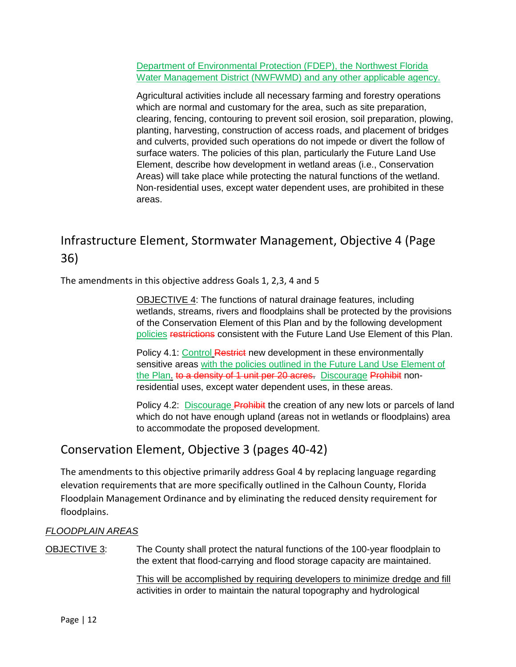Department of Environmental Protection (FDEP), the Northwest Florida Water Management District (NWFWMD) and any other applicable agency.

Agricultural activities include all necessary farming and forestry operations which are normal and customary for the area, such as site preparation, clearing, fencing, contouring to prevent soil erosion, soil preparation, plowing, planting, harvesting, construction of access roads, and placement of bridges and culverts, provided such operations do not impede or divert the follow of surface waters. The policies of this plan, particularly the Future Land Use Element, describe how development in wetland areas (i.e., Conservation Areas) will take place while protecting the natural functions of the wetland. Non-residential uses, except water dependent uses, are prohibited in these areas.

# Infrastructure Element, Stormwater Management, Objective 4 (Page 36)

The amendments in this objective address Goals 1, 2,3, 4 and 5

OBJECTIVE 4: The functions of natural drainage features, including wetlands, streams, rivers and floodplains shall be protected by the provisions of the Conservation Element of this Plan and by the following development policies restrictions consistent with the Future Land Use Element of this Plan.

Policy 4.1: Control Restrict new development in these environmentally sensitive areas with the policies outlined in the Future Land Use Element of the Plan. to a density of 1 unit per 20 acres. Discourage Prohibit nonresidential uses, except water dependent uses, in these areas.

Policy 4.2: Discourage Prohibit the creation of any new lots or parcels of land which do not have enough upland (areas not in wetlands or floodplains) area to accommodate the proposed development.

## Conservation Element, Objective 3 (pages 40-42)

The amendments to this objective primarily address Goal 4 by replacing language regarding elevation requirements that are more specifically outlined in the Calhoun County, Florida Floodplain Management Ordinance and by eliminating the reduced density requirement for floodplains.

### *FLOODPLAIN AREAS*

OBJECTIVE 3: The County shall protect the natural functions of the 100-year floodplain to the extent that flood-carrying and flood storage capacity are maintained.

> This will be accomplished by requiring developers to minimize dredge and fill activities in order to maintain the natural topography and hydrological